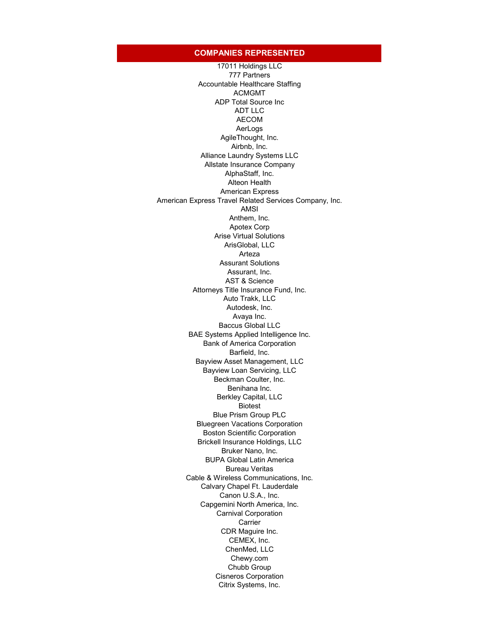## **COMPANIES REPRESENTED**

17011 Holdings LLC 777 Partners Accountable Healthcare Staffing ACMGMT ADP Total Source Inc ADT LLC AECOM AerLogs AgileThought, Inc. Airbnb, Inc. Alliance Laundry Systems LLC Allstate Insurance Company AlphaStaff, Inc. Alteon Health American Express American Express Travel Related Services Company, Inc. AMSI Anthem, Inc. Apotex Corp Arise Virtual Solutions ArisGlobal, LLC Arteza Assurant Solutions Assurant, Inc. AST & Science Attorneys Title Insurance Fund, Inc. Auto Trakk, LLC Autodesk, Inc. Avaya Inc. Baccus Global LLC BAE Systems Applied Intelligence Inc. Bank of America Corporation Barfield, Inc. Bayview Asset Management, LLC Bayview Loan Servicing, LLC Beckman Coulter, Inc. Benihana Inc. Berkley Capital, LLC Biotest Blue Prism Group PLC Bluegreen Vacations Corporation Boston Scientific Corporation Brickell Insurance Holdings, LLC Bruker Nano, Inc. BUPA Global Latin America Bureau Veritas Cable & Wireless Communications, Inc. Calvary Chapel Ft. Lauderdale Canon U.S.A., Inc. Capgemini North America, Inc. Carnival Corporation Carrier CDR Maguire Inc. CEMEX, Inc. ChenMed, LLC Chewy.com Chubb Group Cisneros Corporation Citrix Systems, Inc.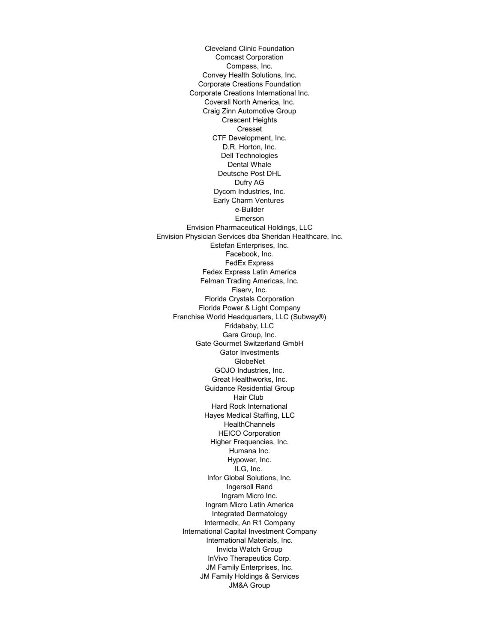Cleveland Clinic Foundation Comcast Corporation Compass, Inc. Convey Health Solutions, Inc. Corporate Creations Foundation Corporate Creations International Inc. Coverall North America, Inc. Craig Zinn Automotive Group Crescent Heights Cresset CTF Development, Inc. D.R. Horton, Inc. Dell Technologies Dental Whale Deutsche Post DHL Dufry AG Dycom Industries, Inc. Early Charm Ventures e-Builder Emerson Envision Pharmaceutical Holdings, LLC Envision Physician Services dba Sheridan Healthcare, Inc. Estefan Enterprises, Inc. Facebook, Inc. FedEx Express Fedex Express Latin America Felman Trading Americas, Inc. Fiserv, Inc. Florida Crystals Corporation Florida Power & Light Company Franchise World Headquarters, LLC (Subway®) Fridababy, LLC Gara Group, Inc. Gate Gourmet Switzerland GmbH Gator Investments GlobeNet GOJO Industries, Inc. Great Healthworks, Inc. Guidance Residential Group Hair Club Hard Rock International Hayes Medical Staffing, LLC **HealthChannels** HEICO Corporation Higher Frequencies, Inc. Humana Inc. Hypower, Inc. ILG, Inc. Infor Global Solutions, Inc. Ingersoll Rand Ingram Micro Inc. Ingram Micro Latin America Integrated Dermatology Intermedix, An R1 Company International Capital Investment Company International Materials, Inc. Invicta Watch Group InVivo Therapeutics Corp. JM Family Enterprises, Inc. JM Family Holdings & Services JM&A Group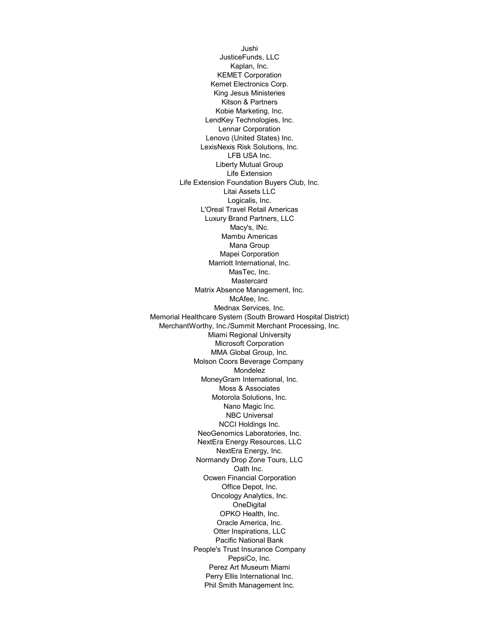Jushi JusticeFunds, LLC Kaplan, Inc. KEMET Corporation Kemet Electronics Corp. King Jesus Ministeries Kitson & Partners Kobie Marketing, Inc. LendKey Technologies, Inc. Lennar Corporation Lenovo (United States) Inc. LexisNexis Risk Solutions, Inc. LFB USA Inc. Liberty Mutual Group Life Extension Life Extension Foundation Buyers Club, Inc. Litai Assets LLC Logicalis, Inc. L'Oreal Travel Retail Americas Luxury Brand Partners, LLC Macy's, INc. Mambu Americas Mana Group Mapei Corporation Marriott International, Inc. MasTec, Inc. Mastercard Matrix Absence Management, Inc. McAfee, Inc. Mednax Services, Inc. Memorial Healthcare System (South Broward Hospital District) MerchantWorthy, Inc./Summit Merchant Processing, Inc. Miami Regional University Microsoft Corporation MMA Global Group, Inc. Molson Coors Beverage Company Mondelez MoneyGram International, Inc. Moss & Associates Motorola Solutions, Inc. Nano Magic Inc. NBC Universal NCCI Holdings Inc. NeoGenomics Laboratories, Inc. NextEra Energy Resources, LLC NextEra Energy, Inc. Normandy Drop Zone Tours, LLC Oath Inc. Ocwen Financial Corporation Office Depot, Inc. Oncology Analytics, Inc. **OneDigital** OPKO Health, Inc. Oracle America, Inc. Otter Inspirations, LLC Pacific National Bank People's Trust Insurance Company PepsiCo, Inc. Perez Art Museum Miami Perry Ellis International Inc. Phil Smith Management Inc.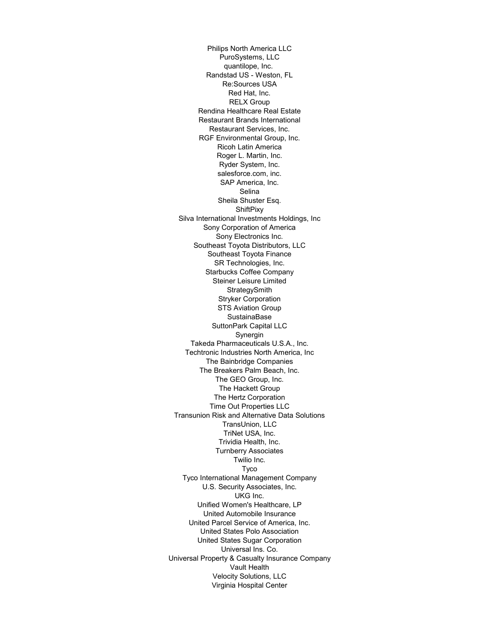Philips North America LLC PuroSystems, LLC quantilope, Inc. Randstad US - Weston, FL Re:Sources USA Red Hat, Inc. RELX Group Rendina Healthcare Real Estate Restaurant Brands International Restaurant Services, Inc. RGF Environmental Group, Inc. Ricoh Latin America Roger L. Martin, Inc. Ryder System, Inc. salesforce.com, inc. SAP America, Inc. Selina Sheila Shuster Esq. **ShiftPixy** Silva International Investments Holdings, Inc Sony Corporation of America Sony Electronics Inc. Southeast Toyota Distributors, LLC Southeast Toyota Finance SR Technologies, Inc. Starbucks Coffee Company Steiner Leisure Limited **StrategySmith** Stryker Corporation STS Aviation Group SustainaBase SuttonPark Capital LLC Synergin Takeda Pharmaceuticals U.S.A., Inc. Techtronic Industries North America, Inc The Bainbridge Companies The Breakers Palm Beach, Inc. The GEO Group, Inc. The Hackett Group The Hertz Corporation Time Out Properties LLC Transunion Risk and Alternative Data Solutions TransUnion, LLC TriNet USA, Inc. Trividia Health, Inc. Turnberry Associates Twilio Inc. Tyco Tyco International Management Company U.S. Security Associates, Inc. UKG Inc. Unified Women's Healthcare, LP United Automobile Insurance United Parcel Service of America, Inc. United States Polo Association United States Sugar Corporation Universal Ins. Co. Universal Property & Casualty Insurance Company Vault Health Velocity Solutions, LLC Virginia Hospital Center